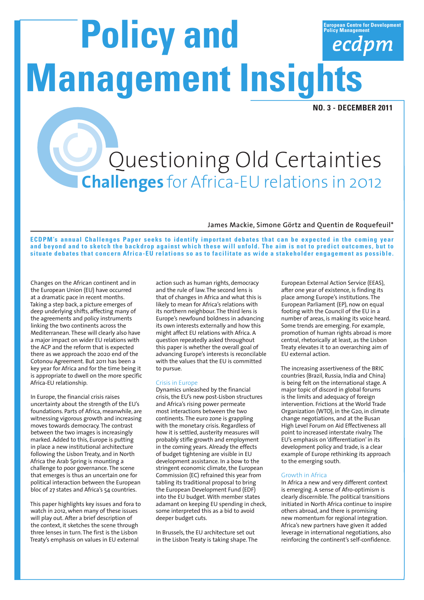# **European Centre for Development Policy Management**<br> **Policy Management**<br> **Policy Management Management Insights**

**NO. 3 - DECEMBER 2011**

## Questioning Old Certainties **Challenges** for Africa-EU relations in 2012

### **James Mackie, Simone Görtz and Quentin de Roquefeuil\***

**ECDPM's annual Challenges Paper seeks to identify important debates that can be expected in the coming year and beyond and to sketch the backdrop against which these will unfold. The aim is not to predict outcomes, but to situate debates that concern Africa-EU relations so as to facilitate as wide a stakeholder engagement as possible.**

Changes on the African continent and in the European Union (EU) have occurred at a dramatic pace in recent months. Taking a step back, a picture emerges of deep underlying shifts, affecting many of the agreements and policy instruments linking the two continents across the Mediterranean. These will clearly also have a major impact on wider EU relations with the ACP and the reform that is expected there as we approach the 2020 end of the Cotonou Agreement. But 2011 has been a key year for Africa and for the time being it is appropriate to dwell on the more specific Africa-EU relationship.

In Europe, the financial crisis raises uncertainty about the strength of the EU's foundations. Parts of Africa, meanwhile, are witnessing vigorous growth and increasing moves towards democracy. The contrast between the two images is increasingly marked. Added to this, Europe is putting in place a new institutional architecture following the Lisbon Treaty, and in North Africa the Arab Spring is mounting a challenge to poor governance. The scene that emerges is thus an uncertain one for political interaction between the European bloc of 27 states and Africa's 54 countries.

This paper highlights key issues and fora to watch in 2012, when many of these issues will play out. After a brief description of the context, it sketches the scene through three lenses in turn. The first is the Lisbon Treaty's emphasis on values in EU external

action such as human rights, democracy and the rule of law. The second lens is that of changes in Africa and what this is likely to mean for Africa's relations with its northern neighbour. The third lens is Europe's newfound boldness in advancing its own interests externally and how this might affect EU relations with Africa. A question repeatedly asked throughout this paper is whether the overall goal of advancing Europe's interests is reconcilable with the values that the EU is committed to pursue.

### Crisis in Europe

Dynamics unleashed by the financial crisis, the EU's new post-Lisbon structures and Africa's rising power permeate most interactions between the two continents. The euro zone is grappling with the monetary crisis. Regardless of how it is settled, austerity measures will probably stifle growth and employment in the coming years. Already the effects of budget tightening are visible in EU development assistance. In a bow to the stringent economic climate, the European Commission (EC) refrained this year from tabling its traditional proposal to bring the European Development Fund (EDF) into the EU budget. With member states adamant on keeping EU spending in check, some interpreted this as a bid to avoid deeper budget cuts.

In Brussels, the EU architecture set out in the Lisbon Treaty is taking shape. The European External Action Service (EEAS), after one year of existence, is finding its place among Europe's institutions. The European Parliament (EP), now on equal footing with the Council of the EU in a number of areas, is making its voice heard. Some trends are emerging. For example, promotion of human rights abroad is more central, rhetorically at least, as the Lisbon Treaty elevates it to an overarching aim of EU external action.

The increasing assertiveness of the BRIC countries (Brazil, Russia, India and China) is being felt on the international stage. A major topic of discord in global forums is the limits and adequacy of foreign intervention. Frictions at the World Trade Organization (WTO), in the G20, in climate change negotiations, and at the Busan High Level Forum on Aid Effectiveness all point to increased interstate rivalry. The EU's emphasis on 'differentiation' in its development policy and trade, is a clear example of Europe rethinking its approach to the emerging south.

### Growth in Africa

In Africa a new and very different context is emerging. A sense of Afro-optimism is clearly discernible. The political transitions initiated in North Africa continue to inspire others abroad, and there is promising new momentum for regional integration. Africa's new partners have given it added leverage in international negotiations, also reinforcing the continent's self-confidence.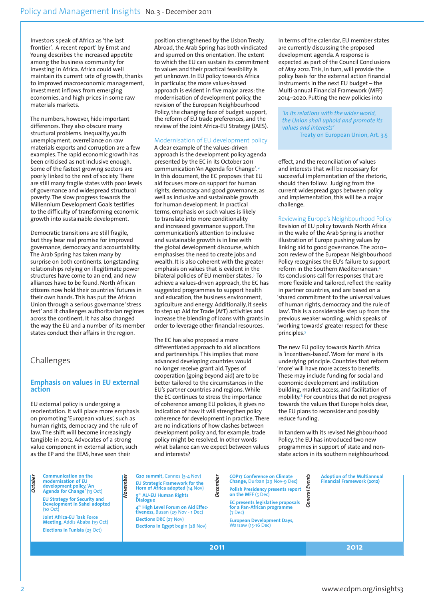Investors speak of Africa as 'the last frontier'. A recent report<sup>1</sup> by Ernst and Young describes the increased appetite among the business community for investing in Africa. Africa could well maintain its current rate of growth, thanks to improved macroeconomic management, investment inflows from emerging economies, and high prices in some raw materials markets.

The numbers, however, hide important differences. They also obscure many structural problems. Inequality, youth unemployment, overreliance on raw materials exports and corruption are a few examples. The rapid economic growth has been criticised as not inclusive enough. Some of the fastest growing sectors are poorly linked to the rest of society. There are still many fragile states with poor levels of governance and widespread structural poverty. The slow progress towards the Millennium Development Goals testifies to the difficulty of transforming economic growth into sustainable development.

Democratic transitions are still fragile, but they bear real promise for improved governance, democracy and accountability. The Arab Spring has taken many by surprise on both continents. Longstanding relationships relying on illegitimate power structures have come to an end, and new alliances have to be found. North African citizens now hold their countries' futures in their own hands. This has put the African Union through a serious governance 'stress test' and it challenges authoritarian regimes across the continent. It has also changed the way the EU and a number of its member states conduct their affairs in the region.

### Challenges

### **Emphasis on values in EU external action**

EU external policy is undergoing a reorientation. It will place more emphasis on promoting 'European values', such as human rights, democracy and the rule of law. The shift will become increasingly tangible in 2012. Advocates of a strong value component in external action, such as the EP and the EEAS, have seen their

position strengthened by the Lisbon Treaty. Abroad, the Arab Spring has both vindicated and spurred on this orientation. The extent to which the EU can sustain its commitment to values and their practical feasibility is yet unknown. In EU policy towards Africa in particular, the more values-based approach is evident in five major areas: the modernisation of development policy, the revision of the European Neighbourhood Policy, the changing face of budget support, the reform of EU trade preferences, and the review of the Joint Africa-EU Strategy (JAES).

### Modernisation of EU development policy

A clear example of the values-driven approach is the development policy agenda presented by the EC in its October 2011 communication 'An Agenda for Change'. 2 In this document, the EC proposes that EU aid focuses more on support for human rights, democracy and good governance, as well as inclusive and sustainable growth for human development. In practical terms, emphasis on such values is likely to translate into more conditionality and increased governance support. The communication's attention to inclusive and sustainable growth is in line with the global development discourse, which emphasises the need to create jobs and wealth. It is also coherent with the greater emphasis on values that is evident in the bilateral policies of EU member states.3 To achieve a values-driven approach, the EC has suggested programmes to support health and education, the business environment, agriculture and energy. Additionally, it seeks to step up Aid for Trade (AfT) activities and increase the blending of loans with grants in order to leverage other financial resources.

The EC has also proposed a more differentiated approach to aid allocations and partnerships. This implies that more advanced developing countries would no longer receive grant aid. Types of cooperation (going beyond aid) are to be better tailored to the circumstances in the EU's partner countries and regions. While the EC continues to stress the importance of coherence among EU policies, it gives no indication of how it will strengthen policy coherence for development in practice. There are no indications of how clashes between development policy and, for example, trade policy might be resolved. In other words what balance can we expect between values and interests?

In terms of the calendar, EU member states are currently discussing the proposed development agenda. A response is expected as part of the Council Conclusions of May 2012. This, in turn, will provide the policy basis for the external action financial instruments in the next EU budget – the Multi-annual Financial Framework (MFF) 2014–2020. Putting the new policies into

*'In its relations with the wider world, the Union shall uphold and promote its values and interests'* Treaty on European Union, Art. 3.5

effect, and the reconciliation of values and interests that will be necessary for successful implementation of the rhetoric, should then follow. Judging from the current widespread gaps between policy and implementation, this will be a major challenge.

### Reviewing Europe's Neighbourhood Policy

Revision of EU policy towards North Africa in the wake of the Arab Spring is another illustration of Europe pushing values by linking aid to good governance. The 2010– 2011 review of the European Neighbourhood Policy recognises the EU's failure to support reform in the Southern Mediterranean.<sup>4</sup> Its conclusions call for responses that are more flexible and tailored, reflect the reality in partner countries, and are based on a 'shared commitment to the universal values of human rights, democracy and the rule of law'. This is a considerable step up from the previous weaker wording, which speaks of 'working towards' greater respect for these principles.5

The new EU policy towards North Africa is 'incentives-based'. 'More for more' is its underlying principle. Countries that reform 'more' will have more access to benefits. These may include funding for social and economic development and institution building, market access, and facilitation of mobility.<sup>6</sup> For countries that do not progress towards the values that Europe holds dear, the EU plans to reconsider and possibly reduce funding.

In tandem with its revised Neighbourhood Policy, the EU has introduced two new programmes in support of state and nonstate actors in its southern neighbourhood.

| October | <b>Communication on the</b><br>modernisation of EU<br>development policy, 'An<br>Agenda for Change' (13 Oct)<br><b>EU Strategy for Security and</b><br><b>Development in Sahel adopted</b><br>(10 Oct)<br><b>Joint Africa-EU Task Force</b><br><b>Meeting, Addis Ababa (19 Oct)</b><br>Elections in Tunisia (23 Oct) | ber<br>ક્ર | G20 summit, Cannes (3-4 Nov)<br><b>EU Strategic Framework for the</b><br>Horn of Africa adopted (14 Nov)<br>9th AU-EU Human Rights<br><b>Dialogue</b><br>4 <sup>th</sup> High Level Forum on Aid Effec-<br>tiveness, Busan (29 Nov - 1 Dec)<br><b>Elections DRC</b> (27 Nov)<br>Elections in Egypt begin (28 Nov) | December | <b>COP17 Conference on Climate</b><br>Change, Durban (29 Nov-9 Dec)<br><b>Polish Presidency presents report</b><br>on the MFF (5 Dec)<br>EC presents legislative proposals<br>for a Pan-African programme<br>$(7$ Dec $)$<br><b>European Development Days,</b><br><b>Warsaw (15-16 Dec)</b> | ents<br>Ğ | <b>Adoption of the Multiannual</b><br><b>Financial Framework (2012)</b> |
|---------|----------------------------------------------------------------------------------------------------------------------------------------------------------------------------------------------------------------------------------------------------------------------------------------------------------------------|------------|-------------------------------------------------------------------------------------------------------------------------------------------------------------------------------------------------------------------------------------------------------------------------------------------------------------------|----------|---------------------------------------------------------------------------------------------------------------------------------------------------------------------------------------------------------------------------------------------------------------------------------------------|-----------|-------------------------------------------------------------------------|
|         |                                                                                                                                                                                                                                                                                                                      |            |                                                                                                                                                                                                                                                                                                                   | 2011     |                                                                                                                                                                                                                                                                                             |           | 2012                                                                    |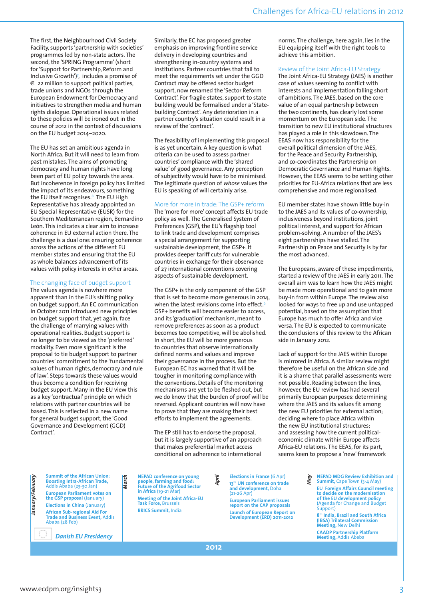The first, the Neighbourhood Civil Society Facility, supports 'partnership with societies' programmes led by non-state actors. The second, the 'SPRING Programme' (short for 'Support for Partnership, Reform and Inclusive Growth')7 , includes a promise of  $\epsilon$  22 million to support political parties, trade unions and NGOs through the European Endowment for Democracy and initiatives to strengthen media and human rights dialogue. Operational issues related to these policies will be ironed out in the course of 2012 in the context of discussions on the EU budget 2014–2020.

The EU has set an ambitious agenda in North Africa. But it will need to learn from past mistakes. The aims of promoting democracy and human rights have long been part of EU policy towards the area. But incoherence in foreign policy has limited the impact of its endeavours, something the EU itself recognises.8 The EU High Representative has already appointed an EU Special Representative (EUSR) for the Southern Mediterranean region, Bernardino León. This indicates a clear aim to increase coherence in EU external action there. The challenge is a dual one: ensuring coherence across the actions of the different EU member states and ensuring that the EU as whole balances advancement of its values with policy interests in other areas.

### The changing face of budget support

The values agenda is nowhere more apparent than in the EU's shifting policy on budget support. An EC communication in October 2011 introduced new principles on budget support that, yet again, face the challenge of marrying values with operational realities. Budget support is no longer to be viewed as the 'preferred' modality. Even more significant is the proposal to tie budget support to partner countries' commitment to the 'fundamental values of human rights, democracy and rule of law'. Steps towards these values would thus become a condition for receiving budget support. Many in the EU view this as a key 'contractual' principle on which relations with partner countries will be based. This is reflected in a new name for general budget support, the 'Good Governance and Development (GGD) Contract'.

Similarly, the EC has proposed greater emphasis on improving frontline service delivery in developing countries and strengthening in-country systems and institutions. Partner countries that fail to meet the requirements set under the GGD Contract may be offered sector budget support, now renamed the 'Sector Reform Contract'. For fragile states, support to state building would be formalised under a 'Statebuilding Contract'. Any deterioration in a partner country's situation could result in a review of the 'contract'.

The feasibility of implementing this proposal is as yet uncertain. A key question is what criteria can be used to assess partner countries' compliance with the 'shared value' of good governance. Any perception of subjectivity would have to be minimised. The legitimate question of *whose* values the EU is speaking of will certainly arise.

### More for more in trade: The GSP+ reform

The 'more for more' concept affects EU trade policy as well. The Generalised System of Preferences (GSP), the EU's flagship tool to link trade and development comprises a special arrangement for supporting sustainable development, the GSP+. It provides deeper tariff cuts for vulnerable countries in exchange for their observance of 27 international conventions covering aspects of sustainable development.

The GSP+ is the only component of the GSP that is set to become more generous in 2014, when the latest revisions come into effect.<sup>9</sup> GSP+ benefits will become easier to access, and its 'graduation' mechanism, meant to remove preferences as soon as a product becomes too competitive, will be abolished. In short, the EU will be more generous to countries that observe internationally defined norms and values and improve their governance in the process. But the European EC has warned that it will be tougher in monitoring compliance with the conventions. Details of the monitoring mechanisms are yet to be fleshed out, but we do know that the burden of proof will be reversed. Applicant countries will now have to prove that they are making their best efforts to implement the agreements.

The EP still has to endorse the proposal, but it is largely supportive of an approach that makes preferential market access conditional on adherence to international

norms. The challenge, here again, lies in the EU equipping itself with the right tools to achieve this ambition.

### Review of the Joint Africa-EU Strategy

The Joint Africa-EU Strategy (JAES) is another case of values seeming to conflict with interests and implementation falling short of ambitions. The JAES, based on the core value of an equal partnership between the two continents, has clearly lost some momentum on the European side. The transition to new EU institutional structures has played a role in this slowdown. The EEAS now has responsibility for the overall political dimension of the JAES, for the Peace and Security Partnership, and co-coordinates the Partnership on Democratic Governance and Human Rights. However, the EEAS seems to be setting other priorities for EU-Africa relations that are less comprehensive and more regionalised.

EU member states have shown little buy-in to the JAES and its values of co-ownership, inclusiveness beyond institutions, joint political interest, and support for African problem-solving. A number of the JAES's eight partnerships have stalled. The Partnership on Peace and Security is by far the most advanced.

The Europeans, aware of these impediments, started a review of the JAES in early 2011. The overall aim was to learn how the JAES might be made more operational and to gain more buy-in from within Europe. The review also looked for ways to free up and use untapped potential, based on the assumption that Europe has much to offer Africa and vice versa. The EU is expected to communicate the conclusions of this review to the African side in January 2012.

Lack of support for the JAES within Europe is mirrored in Africa. A similar review might therefore be useful on the African side and it is a shame that parallel assessments were not possible. Reading between the lines, however, the EU review has had several primarily European purposes: determining where the JAES and its values fit among the new EU priorities for external action; deciding where to place Africa within the new EU institutional structures; and assessing how the current politicaleconomic climate within Europe affects Africa-EU relations. The EEAS, for its part, seems keen to propose a 'new' framework

Summit of the African Union:<br>
Boosting Intra-African Trade,<br>
Addis Ababa (23-30 Jan)<br> **January/February Appropriate COSETY**<br>
European Parliament votes on<br>
the GSP proposal (January)<br>
Elections in China (19-21 Mar)<br> **Euro Summit of the African Union: Boosting Intra-African Trade,**  Addis Ababa (23-30 Jan) **European Parliament votes on the GSP proposal** (January) **Elections in China** (January) **African Sub-regional Aid For Trade and Business Event,** Addis Ababa (28 Feb)

 *Danish EU Presidency*

**NEPAD conference on young people, farming and food: Future of the Agrifood Sector in Africa** (19-21 Mar) **Meeting of the Joint Africa-EU Task Force,** Brussels **BRICS Summit,** India

**Elections in France** (6 Apr) **13th UN conference on trade and development,** Doha (21-26 Apr)

**European Parliament issues report on the CAP proposals Launch of European Report on Development (ERD) 2011-2012**

**NEPAD MDG Review Exhibition and Summit,** Cape Town (3-4 May) **EU Foreign Affairs Council meeting to decide on the modernisation of the EU development policy**  (Agenda for Change and Budget Support)

**8th India, Brazil and South Africa (IBSA) Trilateral Commission Meeting,** New Delhi **CAADP Partnership Platform Meeting,** Addis Abeba

**2012**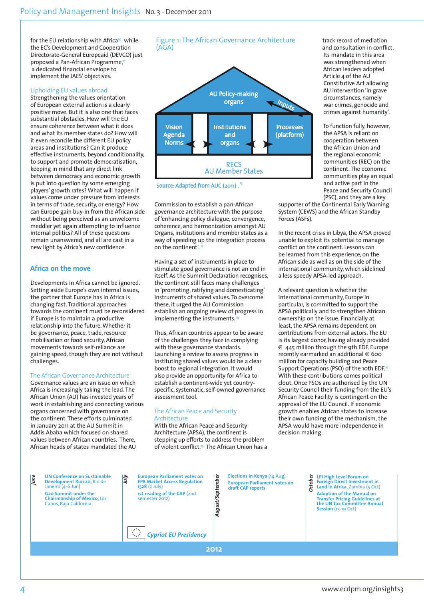for the EU relationship with Africa<sup>10</sup> while the EC's Development and Cooperation Directorate-General Europeaid (DEVCO) just proposed a Pan-African Programme,<sup>11</sup> a dedicated financial envelope to implement the JAES' objectives.

### Upholding EU values abroad

Strengthening the values orientation of European external action is a clearly positive move. But it is also one that faces substantial obstacles. How will the EU ensure coherence between what it does and what its member states do? How will it even reconcile the different EU policy areas and institutions? Can it produce effective instruments, beyond conditionality, to support and promote democratisation, keeping in mind that any direct link between democracy and economic growth is put into question by some emerging players' growth rates? What will happen if values come under pressure from interests in terms of trade, security, or energy? How can Europe gain buy-in from the African side without being perceived as an unwelcome meddler yet again attempting to influence internal politics? All of these questions remain unanswered, and all are cast in a new light by Africa's new confidence.

### **Africa on the move**

Developments in Africa cannot be ignored. Setting aside Europe's own internal issues, the partner that Europe has in Africa is changing fast. Traditional approaches towards the continent must be reconsidered if Europe is to maintain a productive relationship into the future. Whether it be governance, peace, trade, resource mobilisation or food security, African movements towards self-reliance are gaining speed, though they are not without challenges.

### The African Governance Architecture

Governance values are an issue on which Africa is increasingly taking the lead. The African Union (AU) has invested years of work in establishing and connecting various organs concerned with governance on the continent. These efforts culminated in January 2011 at the AU Summit in Addis Ababa which focused on shared values between African countries. There, African heads of states mandated the AU



Source: Adapted from AUC (2011).<sup>13</sup>

Commission to establish a pan-African governance architecture with the purpose of 'enhancing policy dialogue, convergence, coherence, and harmonization amongst AU Organs, institutions and member states as a way of speeding up the integration process on the continent'.

Having a set of instruments in place to stimulate good governance is not an end in itself. As the Summit Declaration recognises, the continent still faces many challenges in 'promoting, ratifying and domesticating' instruments of shared values. To overcome these, it urged the AU Commission establish an ongoing review of progress in implementing the instruments.<sup>14</sup>

Thus, African countries appear to be aware of the challenges they face in complying with these governance standards. Launching a review to assess progress in instituting shared values would be a clear boost to regional integration. It would also provide an opportunity for Africa to establish a continent-wide yet countryspecific, systematic, self-owned governance assessment tool.

### The African Peace and Security Architecture

With the African Peace and Security Architecture (APSA), the continent is stepping up efforts to address the problem of violent conflict.<sup>15</sup> The African Union has a track record of mediation and consultation in conflict. Its mandate in this area was strengthened when African leaders adopted Article 4 of the AU Constitutive Act allowing AU intervention 'in grave circumstances, namely war crimes, genocide and crimes against humanity'.

To function fully, however, the APSA is reliant on cooperation between the African Union and the regional economic communities (REC) on the continent. The economic communities play an equal and active part in the Peace and Security Council (PSC), and they are a key

supporter of the Continental Early Warning System (CEWS) and the African Standby Forces (ASFs).

In the recent crisis in Libya, the APSA proved unable to exploit its potential to manage conflict on the continent. Lessons can be learned from this experience, on the African side as well as on the side of the international community, which sidelined a less speedy APSA-led approach.

A relevant question is whether the international community, Europe in particular, is committed to support the APSA politically and to strengthen African ownership on the issue. Financially at least, the APSA remains dependent on contributions from external actors. The EU is its largest donor, having already provided  $\epsilon$  445 million through the 9th EDF. Europe recently earmarked an additional  $\in$  600 million for capacity building and Peace Support Operations (PSO) of the 10th EDF.<sup>16</sup> With these contributions comes political clout. Once PSOs are authorised by the UN Security Council their funding from the EU's African Peace Facility is contingent on the approval of the EU Council. If economic growth enables African states to increase their own funding of the mechanism, the APSA would have more independence in decision making.

| june | <b>UN Conference on Sustainable</b><br>Development Rio+20, Rio de<br>Janeiro $(4-6$ Jun)<br><b>G20 Summit under the</b><br><b>Chairmanship of Mexico, Los</b><br>Cabos, Baja California | $\sqrt{d}$ | <b>European Parliament votes on</b><br><b>EPA Market Access Regulation</b><br>$1528(2$ July)<br>1st reading of the CAP (2nd<br>semester 2012)<br><b>Cypriot EU Presidency</b> | mber<br>eptei<br>ಜ<br>й | Elections in Kenya (14 Aug)<br><b>European Parliament votes on</b><br>draft CAP reports | ō<br>Octob | LPI High Level Forum on<br><b>Foreign Direct Investment in</b><br>Land in Africa, Zambia (5 Oct)<br><b>Adoption of the Manual on</b><br><b>Transfer Pricing Guidelines at</b><br>the UN Tax Committee Annual<br>Session (15-19 Oct) |
|------|-----------------------------------------------------------------------------------------------------------------------------------------------------------------------------------------|------------|-------------------------------------------------------------------------------------------------------------------------------------------------------------------------------|-------------------------|-----------------------------------------------------------------------------------------|------------|-------------------------------------------------------------------------------------------------------------------------------------------------------------------------------------------------------------------------------------|
|      | 2012                                                                                                                                                                                    |            |                                                                                                                                                                               |                         |                                                                                         |            |                                                                                                                                                                                                                                     |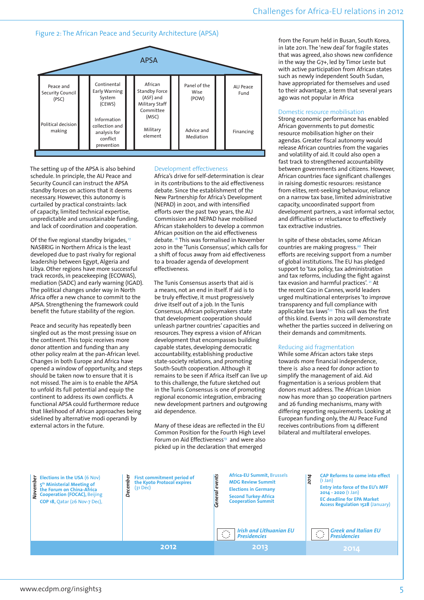### Figure 2: The African Peace and Security Architecture (APSA)

|                                        |                                                                         | <b>APSA</b>                                                                 |                               |                  |
|----------------------------------------|-------------------------------------------------------------------------|-----------------------------------------------------------------------------|-------------------------------|------------------|
| Peace and<br>Security Council<br>(PSC) | Continental<br>Early Warning<br>System<br>(CEWS)                        | African<br><b>Standby Force</b><br>(ASF) and<br>Military Staff<br>Committee | Panel of the<br>Wise<br>(POW) | AU Peace<br>Fund |
| Political decision<br>making           | Information<br>collection and<br>analysis for<br>conflict<br>prevention | (MSC)<br>Military<br>element                                                | Advice and<br>Mediation       | Financing        |

The setting up of the APSA is also behind schedule. In principle, the AU Peace and Security Council can instruct the APSA standby forces on actions that it deems necessary. However, this autonomy is curtailed by practical constraints: lack of capacity, limited technical expertise, unpredictable and unsustainable funding, and lack of coordination and cooperation.

Of the five regional standby brigades,  $\frac{17}{10}$ NASBRIG in Northern Africa is the least developed due to past rivalry for regional leadership between Egypt, Algeria and Libya. Other regions have more successful track records, in peacekeeping (ECOWAS), mediation (SADC) and early warning (IGAD). The political changes under way in North Africa offer a new chance to commit to the APSA. Strengthening the framework could benefit the future stability of the region.

Peace and security has repeatedly been singled out as the most pressing issue on the continent. This topic receives more donor attention and funding than any other policy realm at the pan-African level. Changes in both Europe and Africa have opened a window of opportunity, and steps should be taken now to ensure that it is not missed. The aim is to enable the APSA to unfold its full potential and equip the continent to address its own conflicts. A functional APSA could furthermore reduce that likelihood of African approaches being sidelined by alternative modi operandi by external actors in the future.

### Development effectiveness

Africa's drive for self-determination is clear in its contributions to the aid effectiveness debate. Since the establishment of the New Partnership for Africa's Development (NEPAD) in 2001, and with intensified efforts over the past two years, the AU Commission and NEPAD have mobilised African stakeholders to develop a common African position on the aid effectiveness debate. 18 This was formalised in November 2010 in the 'Tunis Consensus', which calls for a shift of focus away from aid effectiveness to a broader agenda of development effectiveness.

The Tunis Consensus asserts that aid is a means, not an end in itself. If aid is to be truly effective, it must progressively drive itself out of a job. In the Tunis Consensus, African policymakers state that development cooperation should unleash partner countries' capacities and resources. They express a vision of African development that encompasses building capable states, developing democratic accountability, establishing productive state-society relations, and promoting South-South cooperation. Although it remains to be seen if Africa itself can live up to this challenge, the future sketched out in the Tunis Consensus is one of promoting regional economic integration, embracing new development partners and outgrowing aid dependence.

Many of these ideas are reflected in the EU Common Position for the Fourth High Level Forum on Aid Effectiveness<sup>19</sup> and were also picked up in the declaration that emerged

from the Forum held in Busan, South Korea in late 2011. The 'new deal' for fragile states that was agreed, also shows new confidence in the way the G7+, led by Timor Leste but with active participation from African states such as newly independent South Sudan, have appropriated for themselves and used to their advantage, a term that several years ago was not popular in Africa

### Domestic resource mobilisation

Strong economic performance has enabled African governments to put domestic resource mobilisation higher on their agendas. Greater fiscal autonomy would release African countries from the vagaries and volatility of aid. It could also open a fast track to strengthened accountability between governments and citizens. However, African countries face significant challenges in raising domestic resources: resistance from elites, rent-seeking behaviour, reliance on a narrow tax base, limited administrative capacity, uncoordinated support from development partners, a vast informal sector, and difficulties or reluctance to effectively tax extractive industries.

In spite of these obstacles, some African countries are making progress.<sup>20</sup> Their efforts are receiving support from a number of global institutions. The EU has pledged support to 'tax policy, tax administration and tax reforms, including the fight against tax evasion and harmful practices'. 21 At the recent G20 in Cannes, world leaders urged multinational enterprises 'to improve transparency and full compliance with applicable tax laws'<sup>22</sup> This call was the first of this kind. Events in 2012 will demonstrate whether the parties succeed in delivering on their demands and commitments.

### Reducing aid fragmentation

While some African actors take steps towards more financial independence, there is also a need for donor action to simplify the management of aid. Aid fragmentation is a serious problem that donors must address. The African Union now has more than 30 cooperation partners and 26 funding mechanisms, many with differing reporting requirements. Looking at European funding only, the AU Peace Fund receives contributions from 14 different bilateral and multilateral envelopes.

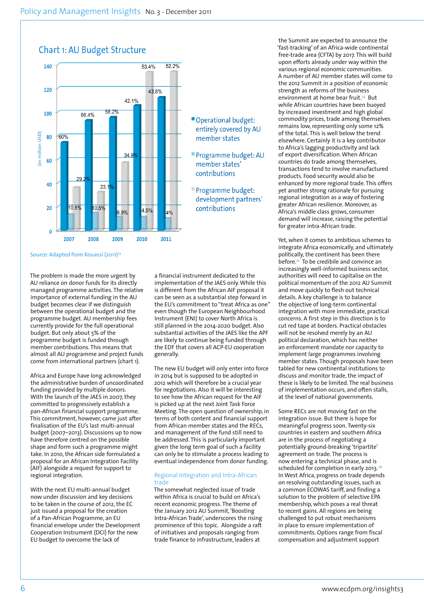

Source: Adapted from Kouassi (2011)<sup>23</sup>

The problem is made the more urgent by AU reliance on donor funds for its directly managed programme activities. The relative importance of external funding in the AU budget becomes clear if we distinguish between the operational budget and the programme budget. AU membership fees currently provide for the full operational budget. But only about 5% of the programme budget is funded through member contributions. This means that almost all AU programme and project funds come from international partners (chart 1).

Africa and Europe have long acknowledged the administrative burden of uncoordinated funding provided by multiple donors. With the launch of the JAES in 2007, they committed to progressively establish a pan-African financial support programme. This commitment, however, came just after finalisation of the EU's last multi-annual budget (2007–2013). Discussions up to now have therefore centred on the possible shape and form such a programme might take. In 2010, the African side formulated a proposal for an African Integration Facility (AIF) alongside a request for support to regional integration.

With the next EU multi-annual budget now under discussion and key decisions to be taken in the course of 2012, the EC just issued a proposal for the creation of a Pan-African Programme, an EU financial envelope under the Development Cooperation Instrument (DCI) for the new EU budget to overcome the lack of

a financial instrument dedicated to the implementation of the JAES only. While this is different from the African AIF proposal it can be seen as a substantial step forward in the EU's commitment to "treat Africa as one" even though the European Neighbourhood Instrument (ENI) to cover North Africa is still planned in the 2014-2020 budget. Also substantial activities of the JAES like the APF are likely to continue being funded through the EDF that covers all ACP-EU cooperation generally.

The new EU budget will only enter into force in 2014 but is supposed to be adopted in 2012 which will therefore be a crucial year for negotiations. Also it will be interesting to see how the African request for the AIF is picked up at the next Joint Task Force Meeting. The open question of ownership, in terms of both content and financial support from African member states and the RECs, and management of the fund still need to be addressed. This is particularly important given the long term goal of such a facility can only be to stimulate a process leading to eventual independence from donor funding.

### Regional Integration and Intra-African trade

The somewhat neglected issue of trade within Africa is crucial to build on Africa's recent economic progress. The theme of the January 2012 AU Summit, 'Boosting Intra-African Trade', underscores the rising prominence of this topic. Alongside a raft of initiatives and proposals ranging from trade finance to infrastructure, leaders at

the Summit are expected to announce the 'fast-tracking' of an Africa-wide continental free-trade area (CFTA) by 2017. This will build upon efforts already under way within the various regional economic communities. A number of AU member states will come to the 2012 Summit in a position of economic strength as reforms of the business environment at home bear fruit.<sup>24</sup> But while African countries have been buoyed by increased investment and high global commodity prices, trade among themselves remains low, representing only some 12% of the total. This is well below the trend elsewhere. Certainly it is a key contributor to Africa's lagging productivity and lack of export diversification. When African countries do trade among themselves, transactions tend to involve manufactured products. Food security would also be enhanced by more regional trade. This offers yet another strong rationale for pursuing regional integration as a way of fostering greater African resilience. Moreover, as Africa's middle class grows, consumer demand will increase, raising the potential for greater intra-African trade.

Yet, when it comes to ambitious schemes to integrate Africa economically, and ultimately politically, the continent has been there before.25 To be credibile and convince an increasingly well-informed business sector, authorities will need to capitalise on the political momentum of the 2012 AU Summit and move quickly to flesh out technical details. A key challenge is to balance the objective of long-term continental integration with more immediate, practical concerns. A first step in this direction is to cut red tape at borders. Practical obstacles will not be resolved merely by an AU political declaration, which has neither an enforcement mandate nor capacity to implement large programmes involving member states. Though proposals have been tabled for new continental institutions to discuss and monitor trade, the impact of these is likely to be limited. The real business of implementation occurs, and often stalls, at the level of national governments.

Some RECs are not moving fast on the integration issue. But there is hope for meaningful progress soon. Twenty-six countries in eastern and southern Africa are in the process of negotiating a potentially ground-breaking 'tripartite' agreement on trade. The process is now entering a technical phase, and is scheduled for completion in early 2013.<sup>2</sup> In West Africa, progress on trade depends on resolving outstanding issues, such as a common ECOWAS tariff, and finding a solution to the problem of selective EPA membership, which poses a real threat to recent gains. All regions are being challenged to put robust mechanisms in place to ensure implementation of commitments. Options range from fiscal compensation and adjustment support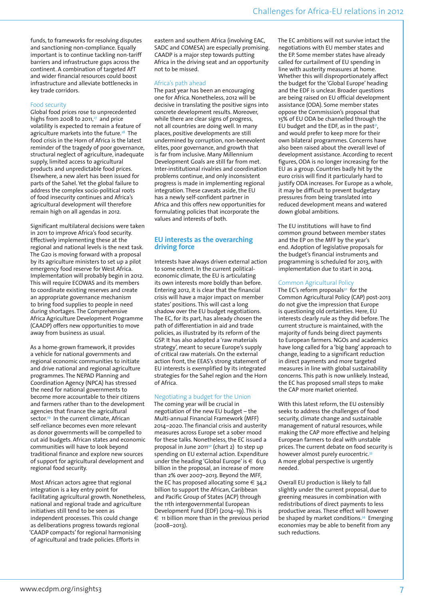funds, to frameworks for resolving disputes and sanctioning non-compliance. Equally important is to continue tackling non-tariff barriers and infrastructure gaps across the continent. A combination of targeted AfT and wider financial resources could boost infrastructure and alleviate bottlenecks in key trade corridors.

### Food security

Global food prices rose to unprecedented highs from 2008 to 2011, $27$  and price volatility is expected to remain a feature of agriculture markets into the future.<sup>28</sup> The food crisis in the Horn of Africa is the latest reminder of the tragedy of poor governance, structural neglect of agriculture, inadequate supply, limited access to agricultural products and unpredictable food prices. Elsewhere, a new alert has been issued for parts of the Sahel. Yet the global failure to address the complex socio-political roots of food insecurity continues and Africa's agricultural development will therefore remain high on all agendas in 2012.

Significant multilateral decisions were taken in 2011 to improve Africa's food security. Effectively implementing these at the regional and national levels is the next task. The G20 is moving forward with a proposal by its agriculture ministers to set up a pilot emergency food reserve for West Africa. Implementation will probably begin in 2012. This will require ECOWAS and its members to coordinate existing reserves and create an appropriate governance mechanism to bring food supplies to people in need during shortages. The Comprehensive Africa Agriculture Development Programme (CAADP) offers new opportunities to move away from business as usual.

As a home-grown framework, it provides a vehicle for national governments and regional economic communities to initiate and drive national and regional agriculture programmes. The NEPAD Planning and Coordination Agency (NPCA) has stressed the need for national governments to become more accountable to their citizens and farmers rather than to the development agencies that finance the agricultural sector.<sup>29</sup> In the current climate, African self-reliance becomes even more relevant as donor governments will be compelled to cut aid budgets. African states and economic communities will have to look beyond traditional finance and explore new sources of support for agricultural development and regional food security.

Most African actors agree that regional integration is a key entry point for facilitating agricultural growth. Nonetheless, national and regional trade and agriculture initiatives still tend to be seen as independent processes. This could change as deliberations progress towards regional 'CAADP compacts' for regional harmonising of agricultural and trade policies. Efforts in

eastern and southern Africa (involving EAC, SADC and COMESA) are especially promising. CAADP is a major step towards putting Africa in the driving seat and an opportunity not to be missed.

### Africa's path ahead

The past year has been an encouraging one for Africa. Nonetheless, 2012 will be decisive in translating the positive signs into concrete development results. Moreover, while there are clear signs of progress, not all countries are doing well. In many places, positive developments are still undermined by corruption, non-benevolent elites, poor governance, and growth that is far from inclusive. Many Millennium Development Goals are still far from met. Inter-institutional rivalries and coordination problems continue, and only inconsistent progress is made in implementing regional integration. These caveats aside, the EU has a newly self-confident partner in Africa and this offers new opportunities for formulating policies that incorporate the values and interests of both.

### **EU interests as the overarching driving force**

Interests have always driven external action to some extent. In the current politicaleconomic climate, the EU is articulating its own interests more boldly than before. Entering 2012, it is clear that the financial crisis will have a major impact on member states' positions. This will cast a long shadow over the EU budget negotiations. The EC, for its part, has already chosen the path of differentiation in aid and trade policies, as illustrated by its reform of the GSP. It has also adopted a 'raw materials strategy', meant to secure Europe's supply of critical raw materials. On the external action front, the EEAS's strong statement of EU interests is exemplified by its integrated strategies for the Sahel region and the Horn of Africa.

### Negotiating a budget for the Union

The coming year will be crucial in negotiation of the new EU budget – the Multi-annual Financial Framework (MFF) 2014–2020. The financial crisis and austerity measures across Europe set a sober mood for these talks. Nonetheless, the EC issued a proposal in June 2011<sup>30</sup> (chart 2) to step up spending on EU external action. Expenditure under the heading 'Global Europe' is  $\epsilon$  61,9 billion in the proposal, an increase of more than 2% over 2007–2013. Beyond the MFF, the EC has proposed allocating some  $\in$  34,2 billion to support the African, Caribbean and Pacific Group of States (ACP) through the 11th intergovernmental European Development Fund (EDF) (2014–19). This is € 11 billion more than in the previous period (2008–2013).

The EC ambitions will not survive intact the negotiations with EU member states and the EP. Some member states have already called for curtailment of EU spending in line with austerity measures at home. Whether this will disproportionately affect the budget for the 'Global Europe' heading and the EDF is unclear. Broader questions are being raised on EU official development assistance (ODA). Some member states oppose the Commission's proposal that 15% of EU ODA be channelled through the EU budget and the EDF, as in the past<sup>31</sup>, and would prefer to keep more for their own bilateral programmes. Concerns have also been raised about the overall level of development assistance. According to recent figures, ODA is no longer increasing for the EU as a group. Countries badly hit by the euro crisis will find it particularly hard to justify ODA increases. For Europe as a whole, it may be difficult to prevent budgetary pressures from being translated into reduced development means and watered down global ambitions.

The EU institutions will have to find common ground between member states and the EP on the MFF by the year's end. Adoption of legislative proposals for the budget's financial instruments and programming is scheduled for 2013, with implementation due to start in 2014.

### Common Agricultural Policy

The EC's reform proposals $32$  for the Common Agricultural Policy (CAP) post-2013 do not give the impression that Europe is questioning old certainties. Here, EU interests clearly rule as they did before. The current structure is maintained, with the majority of funds being direct payments to European farmers. NGOs and academics have long called for a 'big bang' approach to change, leading to a significant reduction in direct payments and more targeted measures in line with global sustainability concerns. This path is now unlikely. Instead, the EC has proposed small steps to make the CAP more market oriented.

With this latest reform, the EU ostensibly seeks to address the challenges of food security, climate change and sustainable management of natural resources, while making the CAP more effective and helping European farmers to deal with unstable prices. The current debate on food security is however almost purely eurocentric.<sup>33</sup> A more global perspective is urgently needed.

Overall EU production is likely to fall slightly under the current proposal, due to greening measures in combination with redistributions of direct payments to less productive areas. These effect will however be shaped by market conditions.<sup>34</sup> Emerging economies may be able to benefit from any such reductions.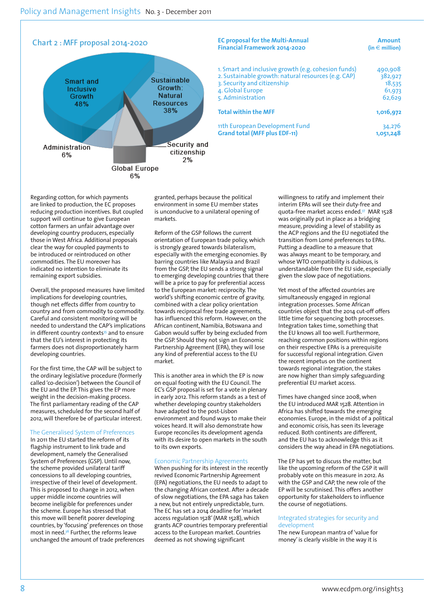

### **EC proposal for the Multi-Annual and Amount amount amount and Amount and Amount and Amount Amount Amount Amount**<br>Financial Framework 2014-2020 **Financial Framework 2014-2020**

| 1. Smart and inclusive growth (e.g. cohesion funds) | 490,908   |
|-----------------------------------------------------|-----------|
| 2. Sustainable growth: natural resources (e.g. CAP) | 382,927   |
| 3. Security and citizenship                         | 18,535    |
| 4. Global Europe                                    | 61,973    |
| 5. Administration                                   | 62.629    |
| <b>Total within the MFF</b>                         | 1,016,972 |
| 11th European Development Fund                      | 34,276    |
| <b>Grand total (MFF plus EDF-11)</b>                | 1,051,248 |

Regarding cotton, for which payments are linked to production, the EC proposes reducing production incentives. But coupled support will continue to give European cotton farmers an unfair advantage over developing country producers, especially those in West Africa. Additional proposals clear the way for coupled payments to be introduced or reintroduced on other commodities. The EU moreover has indicated no intention to eliminate its remaining export subsidies.

Overall, the proposed measures have limited implications for developing countries, though net effects differ from country to country and from commodity to commodity. Careful and consistent monitoring will be needed to understand the CAP's implications in different country contexts<sup>35</sup> and to ensure that the EU's interest in protecting its farmers does not disproportionately harm developing countries.

For the first time, the CAP will be subject to the ordinary legislative procedure (formerly called 'co-decision') between the Council of the EU and the EP. This gives the EP more weight in the decision-making process. The first parliamentary reading of the CAP measures, scheduled for the second half of 2012, will therefore be of particular interest.

### The Generalised System of Preferences

In 2011 the EU started the reform of its flagship instrument to link trade and development, namely the Generalised System of Preferences (GSP). Until now, the scheme provided unilateral tariff concessions to all developing countries, irrespective of their level of development. This is proposed to change in 2012, when upper middle income countries will become ineligible for preferences under the scheme. Europe has stressed that this move will benefit poorer developing countries, by 'focusing' preferences on those most in need.36 Further, the reforms leave unchanged the amount of trade preferences granted, perhaps because the political environment in some EU member states is unconducive to a unilateral opening of markets.

Reform of the GSP follows the current orientation of European trade policy, which is strongly geared towards bilateralism, especially with the emerging economies. By barring countries like Malaysia and Brazil from the GSP, the EU sends a strong signal to emerging developing countries that there will be a price to pay for preferential access to the European market: reciprocity. The world's shifting economic centre of gravity, combined with a clear policy orientation towards reciprocal free trade agreements, has influenced this reform. However, on the African continent, Namibia, Botswana and Gabon would suffer by being excluded from the GSP. Should they not sign an Economic Partnership Agreement (EPA), they will lose any kind of preferential access to the EU market.

This is another area in which the EP is now on equal footing with the EU Council. The EC's GSP proposal is set for a vote in plenary in early 2012. This reform stands as a test of whether developing country stakeholders have adapted to the post-Lisbon environment and found ways to make their voices heard. It will also demonstrate how Europe reconciles its development agenda with its desire to open markets in the south to its own exports.

### Economic Partnership Agreements

When pushing for its interest in the recently revived Economic Partnership Agreement (EPA) negotiations, the EU needs to adapt to the changing African context. After a decade of slow negotiations, the EPA saga has taken a new, but not entirely unpredictable, turn. The EC has set a 2014 deadline for 'market access regulation 1528' (MAR 1528), which grants ACP countries temporary preferential access to the European market. Countries deemed as not showing significant

willingness to ratify and implement their interim EPAs will see their duty-free and quota-free market access ended.37 MAR 1528 was originally put in place as a bridging measure, providing a level of stability as the ACP regions and the EU negotiated the transition from Lomé preferences to EPAs. Putting a deadline to a measure that was always meant to be temporary, and whose WTO compatibility is dubious, is understandable from the EU side, especially given the slow pace of negotiations.

Yet most of the affected countries are simultaneously engaged in regional integration processes. Some African countries object that the 2014 cut-off offers little time for sequencing both processes. Integration takes time, something that the EU knows all too well. Furthermore, reaching common positions within regions on their respective EPAs is a prerequisite for successful regional integration. Given the recent impetus on the continent towards regional integration, the stakes are now higher than simply safeguarding preferential EU market access.

Times have changed since 2008, when the EU introduced MAR 1528. Attention in Africa has shifted towards the emerging economies. Europe, in the midst of a political and economic crisis, has seen its leverage reduced. Both continents are different, and the EU has to acknowledge this as it considers the way ahead in EPA negotiations.

The EP has yet to discuss the matter, but like the upcoming reform of the GSP it will probably vote on this measure in 2012. As with the GSP and CAP, the new role of the EP will be scrutinised. This offers another opportunity for stakeholders to influence the course of negotiations.

### Integrated strategies for security and development

The new European mantra of 'value for money' is clearly visible in the way it is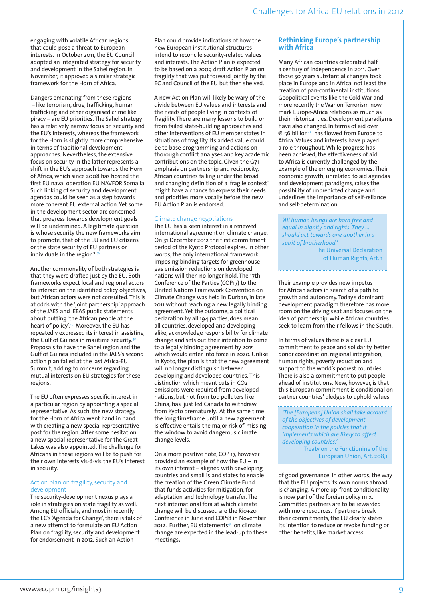engaging with volatile African regions that could pose a threat to European interests. In October 2011, the EU Council adopted an integrated strategy for security and development in the Sahel region. In November, it approved a similar strategic framework for the Horn of Africa.

Dangers emanating from these regions – like terrorism, drug trafficking, human trafficking and other organised crime like piracy – are EU priorities. The Sahel strategy has a relatively narrow focus on security and the EU's interests, whereas the framework for the Horn is slightly more comprehensive in terms of traditional development approaches. Nevertheless, the extensive focus on security in the latter represents a shift in the EU's approach towards the Horn of Africa, which since 2008 has hosted the first EU naval operation EU NAVFOR Somalia. Such linking of security and development agendas could be seen as a step towards more coherent EU external action. Yet some in the development sector are concerned that progress towards development goals will be undermined. A legitimate question is whose security the new frameworks aim to promote, that of the EU and EU citizens or the state security of EU partners or individuals in the region?

Another commonality of both strategies is that they were drafted just by the EU. Both frameworks expect local and regional actors to interact on the identified policy objectives, but African actors were not consulted. This is at odds with the 'joint partnership' approach of the JAES and EEAS public statements about putting 'the African people at the heart of policy'.39 Moreover, the EU has repeatedly expressed its interest in assisting the Gulf of Guinea in maritime security.<sup>4</sup> Proposals to have the Sahel region and the Gulf of Guinea included in the JAES's second action plan failed at the last Africa-EU Summit, adding to concerns regarding mutual interests on EU strategies for these regions.

The EU often expresses specific interest in a particular region by appointing a special representative. As such, the new strategy for the Horn of Africa went hand in hand with creating a new special representative post for the region. After some hesitation a new special representative for the Great Lakes was also appointed. The challenge for Africans in these regions will be to push for their own interests vis-à-vis the EU's interest in security.

### Action plan on fragility, security and development

The security-development nexus plays a role in strategies on state fragility as well. Among EU officials, and most in recently the EC's 'Agenda for Change', there is talk of a new attempt to formulate an EU Action Plan on fragility, security and development for endorsement in 2012. Such an Action

Plan could provide indications of how the new European institutional structures intend to reconcile security-related values and interests. The Action Plan is expected to be based on a 2009 draft Action Plan on fragility that was put forward jointly by the EC and Council of the EU but then shelved.

A new Action Plan will likely be wary of the divide between EU values and interests and the needs of people living in contexts of fragility. There are many lessons to build on from failed state-building approaches and other interventions of EU member states in situations of fragility. Its added value could be to base programming and actions on thorough conflict analyses and key academic contributions on the topic. Given the G7+ emphasis on partnership and reciprocity, African countries falling under the broad and changing definition of a 'fragile context' might have a chance to express their needs and priorities more vocally before the new EU Action Plan is endorsed.

### Climate change negotiations

The EU has a keen interest in a renewed international agreement on climate change. On 31 December 2012 the first commitment period of the Kyoto Protocol expires. In other words, the only international framework imposing binding targets for greenhouse gas emission reductions on developed nations will then no longer hold. The 17th Conference of the Parties (COP17) to the United Nations Framework Convention on Climate Change was held in Durban, in late 2011 without reaching a new legally binding agreement. Yet the outcome, a political declaration by all 194 parties, does mean all countries, developed and developing alike, acknowledge responsibility for climate change and sets out their intention to come to a legally binding agreement by 2015 which would enter into force in 2020. Unlike in Kyoto, the plan is that the new agreement will no longer distinguish between developing and developed countries. This distinction which meant cuts in CO<sub>2</sub> emissions were required from developed nations, but not from top polluters like China, has just led Canada to withdraw from Kyoto prematurely. At the same time the long timeframe until a new agreement is effective entails the major risk of missing the window to avoid dangerous climate change levels.

On a more positive note, COP 17, however provided an example of how the EU – in its own interest – aligned with developing countries and small island states to enable the creation of the Green Climate Fund that funds activities for mitigation, for adaptation and technology transfer. The next international fora at which climate change will be discussed are the Rio+20 Conference in June and COP18 in November 2012. Further, EU statements<sup>41</sup> on climate change are expected in the lead-up to these meetings.

### **Rethinking Europe's partnership with Africa**

Many African countries celebrated half a century of independence in 2011. Over those 50 years substantial changes took place in Europe and in Africa, not least the creation of pan-continental institutions. Geopolitical events like the Cold War and more recently the War on Terrorism now mark Europe-Africa relations as much as their historical ties. Development paradigms have also changed. In terms of aid over  $\epsilon$  56 billion<sup>42</sup> has flowed from Europe to Africa. Values and interests have played a role throughout. While progress has been achieved, the effectiveness of aid to Africa is currently challenged by the example of the emerging economies. Their economic growth, unrelated to aid agendas and development paradigms, raises the possibility of unpredicted change and underlines the importance of self-reliance and self-determination.

*'All human beings are born free and equal in dignity and rights. They ... should act towards one another in a spirit of brotherhood.'*  The Universal Declaration

of Human Rights, Art. 1

Their example provides new impetus for African actors in search of a path to growth and autonomy. Today's dominant development paradigm therefore has more room on the driving seat and focuses on the idea of partnership, while African countries seek to learn from their fellows in the South.

In terms of values there is a clear EU commitment to peace and solidarity, better donor coordination, regional integration, human rights, poverty reduction and support to the world's poorest countries. There is also a commitment to put people ahead of institutions. New, however, is that this European commitment is conditional on partner countries' pledges to uphold values

*'The [European] Union shall take account of the objectives of development cooperation in the policies that it implements which are likely to affect developing countries.'*

Treaty on the Functioning of the European Union, Art. 208,1

of good governance. In other words, the way that the EU projects its own norms abroad is changing. A more up-front conditionality is now part of the foreign policy mix. Committed partners are to be rewarded with more resources. If partners break their commitments, the EU clearly states its intention to reduce or revoke funding or other benefits, like market access.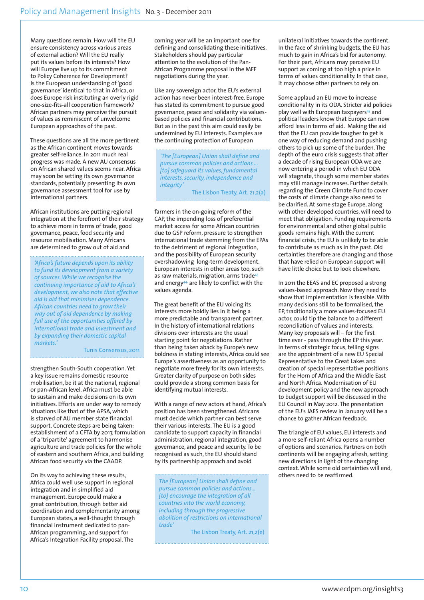Many questions remain. How will the EU ensure consistency across various areas of external action? Will the EU really put its values before its interests? How will Europe live up to its commitment to Policy Coherence for Development? Is the European understanding of 'good governance' identical to that in Africa, or does Europe risk instituting an overly rigid one-size-fits-all cooperation framework? African partners may perceive the pursuit of values as reminiscent of unwelcome European approaches of the past.

These questions are all the more pertinent as the African continent moves towards greater self-reliance. In 2011 much real progress was made. A new AU consensus on African shared values seems near. Africa may soon be setting its own governance standards, potentially presenting its own governance assessment tool for use by international partners.

African institutions are putting regional integration at the forefront of their strategy to achieve more in terms of trade, good governance, peace, food security and resource mobilisation. Many Africans are determined to grow out of aid and

*'Africa's future depends upon its ability to fund its development from a variety of sources. While we recognise the continuing importance of aid to Africa's development, we also note that effective aid is aid that minimises dependence. African countries need to grow their way out of aid dependence by making full use of the opportunities offered by international trade and investment and by expanding their domestic capital markets.'*

Tunis Consensus, 2011

strengthen South-South cooperation. Yet a key issue remains domestic resource mobilisation, be it at the national, regional or pan-African level. Africa must be able to sustain and make decisions on its own initiatives. Efforts are under way to remedy situations like that of the APSA, which is starved of AU member state financial support. Concrete steps are being taken: establishment of a CFTA by 2017, formulation of a 'tripartite' agreement to harmonise agriculture and trade policies for the whole of eastern and southern Africa, and building African food security via the CAADP.

On its way to achieving these results, Africa could well use support in regional integration and in simplified aid management. Europe could make a great contribution, through better aid coordination and complementarity among European states, a well-thought through financial instrument dedicated to pan-African programming, and support for Africa's Integration Facility proposal. The

coming year will be an important one for defining and consolidating these initiatives. Stakeholders should pay particular attention to the evolution of the Pan-African Programme proposal in the MFF negotiations during the year.

Like any sovereign actor, the EU's external action has never been interest-free. Europe has stated its commitment to pursue good governance, peace and solidarity via valuesbased policies and financial contributions. But as in the past this aim could easily be undermined by EU interests. Examples are the continuing protection of European

*'The [European] Union shall define and pursue common policies and actions … [to] safeguard its values, fundamental interests, security, independence and integrity'*

The Lisbon Treaty, Art. 21,2(a)

farmers in the on-going reform of the CAP, the impending loss of preferential market access for some African countries due to GSP reform, pressure to strengthen international trade stemming from the EPAs to the detriment of regional integration, and the possibility of European security overshadowing long-term development. European interests in other areas too, such as raw materials, migration, arms trade<sup>43</sup> and energy<sup>44,</sup> are likely to conflict with the values agenda.

The great benefit of the EU voicing its interests more boldly lies in it being a more predictable and transparent partner. In the history of international relations divisions over interests are the usual starting point for negotiations. Rather than being taken aback by Europe's new boldness in stating interests, Africa could see Europe's assertiveness as an opportunity to negotiate more freely for its own interests. Greater clarity of purpose on both sides could provide a strong common basis for identifying mutual interests.

With a range of new actors at hand, Africa's position has been strengthened. Africans must decide which partner can best serve their various interests. The EU is a good candidate to support capacity in financial administration, regional integration, good governance, and peace and security. To be recognised as such, the EU should stand by its partnership approach and avoid

*The [European] Union shall define and pursue common policies and actions… [to] encourage the integration of all countries into the world economy, including through the progressive abolition of restrictions on international trade'*

The Lisbon Treaty, Art. 21,2(e)

unilateral initiatives towards the continent. In the face of shrinking budgets, the EU has much to gain in Africa's bid for autonomy. For their part, Africans may perceive EU support as coming at too high a price in terms of values conditionality. In that case, it may choose other partners to rely on.

Some applaud an EU move to increase conditionality in its ODA. Stricter aid policies play well with European taxpayers<sup>45</sup> and political leaders know that Europe can now afford less in terms of aid. Making the aid that the EU can provide tougher to get is one way of reducing demand and pushing others to pick up some of the burden. The depth of the euro crisis suggests that after a decade of rising European ODA we are now entering a period in which EU ODA will stagnate, though some member states may still manage increases. Further details regarding the Green Climate Fund to cover the costs of climate change also need to be clarified. At some stage Europe, along with other developed countries, will need to meet that obligation. Funding requirements for environmental and other global public goods remains high. With the current financial crisis, the EU is unlikely to be able to contribute as much as in the past. Old certainties therefore are changing and those that have relied on European support will have little choice but to look elsewhere.

In 2011 the EEAS and EC proposed a strong values-based approach. Now they need to show that implementation is feasible. With many decisions still to be formalised, the EP, traditionally a more values-focused EU actor, could tip the balance to a different reconciliation of values and interests. Many key proposals will – for the first time ever - pass through the EP this year. In terms of strategic focus, telling signs are the appointment of a new EU Special Representative to the Great Lakes and creation of special representative positions for the Horn of Africa and the Middle East and North Africa. Modernisation of EU development policy and the new approach to budget support will be discussed in the EU Council in May 2012. The presentation of the EU's JAES review in January will be a chance to gather African feedback.

The triangle of EU values, EU interests and a more self-reliant Africa opens a number of options and scenarios. Partners on both continents will be engaging afresh, setting new directions in light of the changing context. While some old certainties will end, others need to be reaffirmed.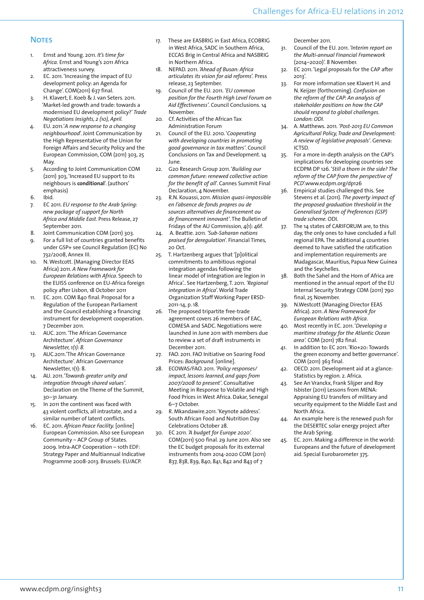### **NOTES**

- 1. Ernst and Young. 2011. *It's time for Africa.* Ernst and Young's 2011 Africa attractiveness survey.
- 2. EC. 2011. 'Increasing the impact of EU development policy: an Agenda for Change'. COM(2011) 637 final.
- 3. H. Klavert, E. Koeb & J. van Seters. 2011. 'Market-led growth and trade: towards a modernised EU development policy?' *Trade Negotiations Insights, 2 (10), April.*
- 4. EU. 2011.'*A new response to a changing neighbourhood*'. Joint Communication by the High Representative of the Union for Foreign Affairs and Security Policy and the European Commission, COM (2011) 303, 25 May.
- 5. According to Joint Communication COM (2011) 303, 'Increased EU support to its neighbours is **conditional**'. (authors' emphasis)
- 6. Ibid.
- 7. EC 2011. *EU response to the Arab Spring: new package of support for North Africa and Middle East*. Press Release, 27 September 2011.
- 8. Joint Communication COM (2011) 303.
- 9. For a full list of countries granted benefits under GSP+ see Council Regulation (EC) No 732/2008, Annex III.
- 10. N. Westcott. (Managing Director EEAS Africa) 2011. *A New Framework for European Relations with Africa*. Speech to the EUISS conference on EU-Africa foreign policy after Lisbon, 18 October 2011
- 11. EC. 2011. COM 840 final. Proposal for a Regulation of the European Parliament and the Council establishing a financing instrument for development cooperation. 7 December 2011.
- 12. AUC. 2011. 'The African Governance Architecture'. *African Governance Newsletter, 1(1): 8.*
- 13. AUC.2011.'The African Governance Architecture'. African Governance Newsletter, 1(1): 8.
- 14. AU. 2011.*'Towards greater unity and integration through shared values'*. Declaration on the Theme of the Summit, 30–31 January.
- 15. In 2011 the continent was faced with 43 violent conflicts, all intrastate, and a similar number of latent conflicts.
- 16. EC. 2011. *African Peace Facility.* [online] European Commission. Also see European Community – ACP Group of States. 2009. Intra-ACP Cooperation – 10th EDF: Strategy Paper and Multiannual Indicative Programme 2008-2013. Brussels: EU/ACP.
- 17. These are EASBRIG in East Africa, ECOBRIG in West Africa, SADC in Southern Africa, ECCAS Brig in Central Africa and NASBRIG in Northern Africa.
- 18. NEPAD. 2011. *'Ahead of Busan: Africa articulates its vision for aid reforms*'. Press release, 23 September.
- 19. Council of the EU. 2011. *'EU common position for the Fourth High Level Forum on Aid Effectiveness'*. Council Conclusions. 14 November.
- 20. Cf. Activities of the African Tax Administration Forum
- 21. Council of the EU. 2010. '*Cooperating with developing countries in promoting good governance in tax matters'*. Council Conclusions on Tax and Development. 14 June.
- 22. G20 Research Group 2011. '*Building our common future: renewed collective action for the benefit of all*'. Cannes Summit Final Declaration, 4 November.
- 23. R.N. Kouassi, 2011. *Mission quasi-impossible en l'absence de fonds propres ou de sources alternatives de financement ou de financement innovant'*. The Bulletin of Fridays of the AU Commission, 4(1): 46f*.*
- 24. A. Beattie. 2011. *'Sub-Saharan nations praised for deregulation*'. Financial Times*,*  20 Oct.
- 25. T. Hartzenberg argues that '[p]olitical commitments to ambitious regional integration agendas following the linear model of integration are legion in Africa'.. See Hartzenberg, T. 2011. *'Regional integration in Africa*'. World Trade Organization Staff Working Paper ERSD-2011-14, p. 18*.*
- 26. The proposed tripartite free-trade agreement covers 26 members of EAC, COMESA and SADC. Negotiations were launched in June 2011 with members due to review a set of draft instruments in December 2011.
- 27. FAO. 2011. FAO Initiative on Soaring Food Prices: *Background*. [online].
- 28. ECOWAS/FAO. 2011. *'Policy responses/ impact, lessons learned, and gaps from 2007/2008 to present'*. Consultative Meeting in Response to Volatile and High Food Prices in West Africa. Dakar, Senegal 6–7 October.
- 29. R. Mkandawire.2011. 'Keynote address'. South African Food and Nutrition Day Celebrations October 28.
- 30. EC 2011. *'A budget for Europe 2020'.* COM(2011) 500 final. 29 June 2011. Also see the EC budget proposals for its external instruments from 2014-2020 COM (2011) 837, 838, 839, 840, 841, 842 and 843 of 7

December 2011.

- 31. Council of the EU. 2011. *'Interim report on the Multi-annual Financial Framework* (2014–2020)'. 8 November.
- 32. EC 2011. 'Legal proposals for the CAP after 2013'.
- 33. For more information see Klavert H. and N. Keijzer (forthcoming). *Confusion on the reform of the CAP: An analysis of stakeholder positions on how the CAP should respond to global challenges. London: ODI.*
- 34. A. Matthews. 2011. *'Post-2013 EU Common Agricultural Policy, Trade and Development: A review of legislative proposals'*. Geneva: ICTSD.
- 35. For a more in-depth analysis on the CAP's implications for developing countries see ECDPM DP 126. '*Still a thorn in the side? The reform of the CAP from the perspective of PCD*'.www.ecdpm.org/dp126
- 36. Empirical studies challenged this. See Stevens et al. (2011). *The poverty impact of the proposed graduation threshold in the Generalised System of Preferences (GSP) trade scheme.* ODI*.*
- 37. The 14 states of CARIFORUM are, to this day, the only ones to have concluded a full regional EPA. The additional 4 countries deemed to have satisfied the ratification and implementation requirements are Madagascar, Mauritius, Papua New Guinea and the Seychelles.
- 38. Both the Sahel and the Horn of Africa are mentioned in the annual report of the EU Internal Security Strategy COM (2011) 790 final, 25 November.
- 39. N.Westcott (Managing Director EEAS Africa). 2011. *A New Framework for European Relations with Africa.*
- 40. Most recently in EC. 2011. '*Developing a maritime strategy for the Atlantic Ocean area'.* COM (2011) 782 final.
- 41. In addition to: EC 2011. 'Rio+20: Towards the green economy and better governance'. COM (2011) 363 final.
- 42. OECD. 2011. Development aid at a glance: Statistics by region. 2. Africa.
- 43. See An Vranckx, Frank Slijper and Roy Isbister (2011) Lessons from MENA: Appraising EU transfers of military and security equipment to the Middle East and North Africa.
- 44. An example here is the renewed push for the DESERTEC solar energy project after the Arab Spring.
- 45. EC. 2011. Making a difference in the world: Europeans and the future of development aid. Special Eurobarometer 375.